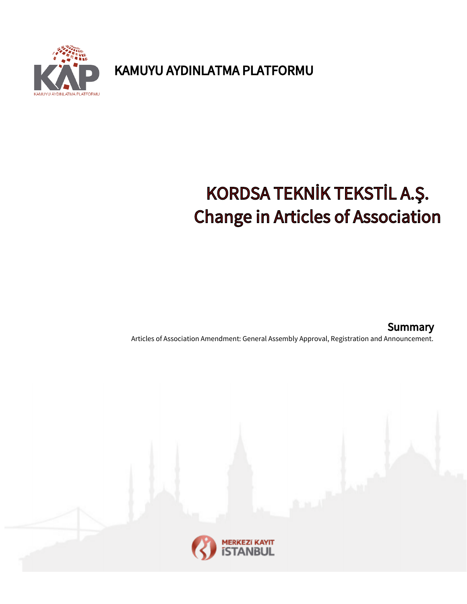YDINLATMA PLATFORMU

KAMUYU AYDINLATMA PLATFORMU

## KORDSA TEKNİK TEKSTİL A.Ş. Change in Articles of Association

Articles of Association Amendment: General Assembly Approval, Registration and Announcement. **Summary**